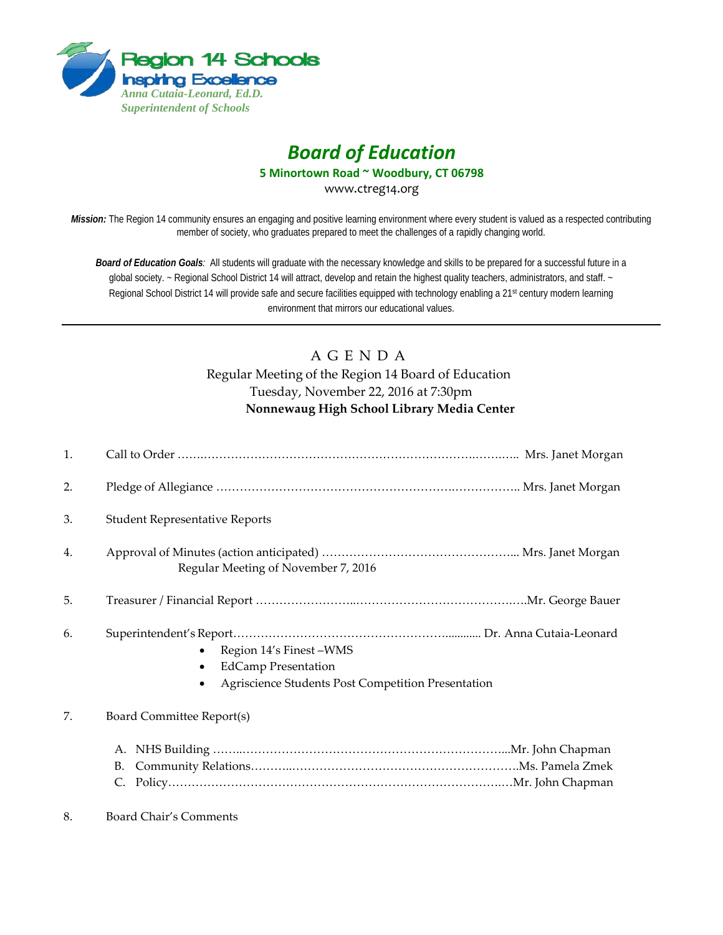

# *Board of Education*

**5 Minortown Road ~ Woodbury, CT 06798**

www.ctreg14.org

*Mission:* The Region 14 community ensures an engaging and positive learning environment where every student is valued as a respected contributing member of society, who graduates prepared to meet the challenges of a rapidly changing world.

*Board of Education Goals:* All students will graduate with the necessary knowledge and skills to be prepared for a successful future in a global society. ~ Regional School District 14 will attract, develop and retain the highest quality teachers, administrators, and staff. ~ Regional School District 14 will provide safe and secure facilities equipped with technology enabling a 21<sup>st</sup> century modern learning environment that mirrors our educational values.

# A G E N D A Regular Meeting of the Region 14 Board of Education Tuesday, November 22, 2016 at 7:30pm **Nonnewaug High School Library Media Center**

| 1. |                                                                                                            |  |
|----|------------------------------------------------------------------------------------------------------------|--|
| 2. |                                                                                                            |  |
| 3. | <b>Student Representative Reports</b>                                                                      |  |
| 4. | Regular Meeting of November 7, 2016                                                                        |  |
| 5. |                                                                                                            |  |
| 6. | Region 14's Finest-WMS<br><b>EdCamp Presentation</b><br>Agriscience Students Post Competition Presentation |  |
| 7. | Board Committee Report(s)                                                                                  |  |
|    | А.<br>В.<br>C.                                                                                             |  |

8. Board Chair's Comments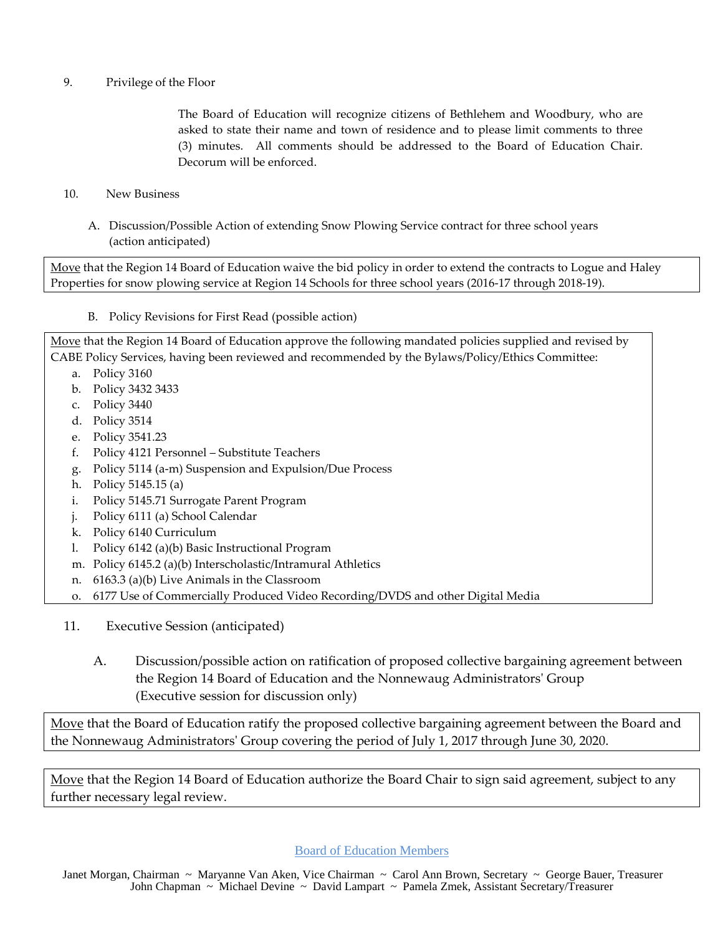## 9. Privilege of the Floor

The Board of Education will recognize citizens of Bethlehem and Woodbury, who are asked to state their name and town of residence and to please limit comments to three (3) minutes. All comments should be addressed to the Board of Education Chair. Decorum will be enforced.

- 10. New Business
	- A. Discussion/Possible Action of extending Snow Plowing Service contract for three school years (action anticipated)

Move that the Region 14 Board of Education waive the bid policy in order to extend the contracts to Logue and Haley Properties for snow plowing service at Region 14 Schools for three school years (2016-17 through 2018-19).

B. Policy Revisions for First Read (possible action)

Move that the Region 14 Board of Education approve the following mandated policies supplied and revised by CABE Policy Services, having been reviewed and recommended by the Bylaws/Policy/Ethics Committee:

- a. Policy 3160
- b. Policy 3432 3433
- c. Policy 3440
- d. Policy 3514
- e. Policy 3541.23
- f. Policy 4121 Personnel Substitute Teachers
- g. Policy 5114 (a-m) Suspension and Expulsion/Due Process
- h. Policy 5145.15 (a)
- i. Policy 5145.71 Surrogate Parent Program
- j. Policy 6111 (a) School Calendar
- k. Policy 6140 Curriculum
- l. Policy 6142 (a)(b) Basic Instructional Program
- m. Policy 6145.2 (a)(b) Interscholastic/Intramural Athletics
- n. 6163.3 (a)(b) Live Animals in the Classroom
- o. 6177 Use of Commercially Produced Video Recording/DVDS and other Digital Media
- 11. Executive Session (anticipated)
	- A. Discussion/possible action on ratification of proposed collective bargaining agreement between the Region 14 Board of Education and the Nonnewaug Administrators' Group (Executive session for discussion only)

Move that the Board of Education ratify the proposed collective bargaining agreement between the Board and the Nonnewaug Administrators' Group covering the period of July 1, 2017 through June 30, 2020.

Move that the Region 14 Board of Education authorize the Board Chair to sign said agreement, subject to any further necessary legal review.

Board of Education Members